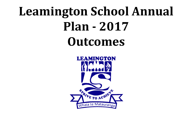# **Leamington School Annual Plan - 2017 Outcomes**



- 
- 
- 
- 
- 
- 
- 
- 
- - -
		-
- 
- 
- 
- 
- -
- 
- 
- -
	-
	-
	-
	-
	-
	-
	-
- -
- 
- 
- 
- 
- 
- 
- 
- 
- 
- 
- - - - -
				-
				-
- -
	-
	-
	-
	-
	-
	- - -
- -
	-
- 
- 
- 
- 
- 
- - -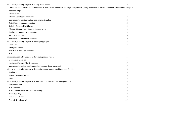| Initiatives specifically targeted at raising achievement                                                                                               | 10 |
|--------------------------------------------------------------------------------------------------------------------------------------------------------|----|
| Continue to monitor student achievement in literacy and numeracy and target programmes appropriately, with a particular emphasis on: - Maori - Boys 10 |    |
| <b>Booster Groups</b>                                                                                                                                  | 11 |
| <b>CRT</b> Initiative                                                                                                                                  | 11 |
| Effective use of assessment data                                                                                                                       | 12 |
| Implementation of Curriculum Implementation plans                                                                                                      | 12 |
| Digital tools to enhance learning                                                                                                                      | 12 |
| Digitally Enhanced 1:1 Classes                                                                                                                         | 13 |
| Whaia te Matauranga / Cultural Competencies                                                                                                            | 13 |
| Cambridge community of Learning                                                                                                                        | 13 |
| <b>National Standards</b>                                                                                                                              | 14 |
| <b>Innovative Learning Environments</b>                                                                                                                | 14 |
| Initiatives specifically targeted at developing people                                                                                                 | 15 |
| Social Club                                                                                                                                            | 15 |
| <b>Emergent Leaders</b>                                                                                                                                | 15 |
| Induction of new staff members                                                                                                                         | 16 |
| <b>PLIC</b>                                                                                                                                            | 16 |
| Initiatives specifically targeted at developing school vision                                                                                          | 16 |
| Leamington Learners                                                                                                                                    | 16 |
| Making a difference / Enviro-schools                                                                                                                   | 17 |
| Implementation of revised Leamington Learner vision for school                                                                                         | 17 |
| Initiatives specifically targeted at developing opportunities for children and families                                                                | 18 |
| <b>Head Lice</b>                                                                                                                                       | 18 |
| Second Language Options                                                                                                                                | 18 |
| Sport                                                                                                                                                  | 18 |
| Initiatives specifically targeted at essential school infrastructure and operations                                                                    | 19 |
| Funky Kids Club                                                                                                                                        | 19 |
| <b>BOT</b> elections                                                                                                                                   | 19 |
| BOT Communication with the Community                                                                                                                   | 20 |
| <b>Banked Staffing</b>                                                                                                                                 | 20 |
| <b>Enrolment scheme</b>                                                                                                                                | 20 |
| <b>Property Development</b>                                                                                                                            | 20 |
|                                                                                                                                                        |    |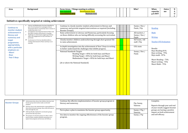| <b>Area</b> | <b>Background</b> | Things wanting to achieve<br><b>Focus Areas</b> |  | Who? | When                 | <b>Outco</b> |        |
|-------------|-------------------|-------------------------------------------------|--|------|----------------------|--------------|--------|
|             |                   | Maintain Area                                   |  |      | reportin<br>g to BOT | me           | $\sim$ |
|             |                   |                                                 |  |      |                      |              |        |

## <span id="page-2-0"></span>**Initiatives specifically targeted at raising achievement**

<span id="page-2-1"></span>

| <b>Continue to</b><br>monitor student<br>achievement in<br>literacy and<br>numeracy and<br>target<br>programmes<br>appropriately, | Literacy and Mathematics has been identified as<br>part of core business for Leamington School.<br>Assessment data in consistently shows variance in<br>results from term 1 to 4.<br>> Investigations into disparity between Maori and<br>Non Maori student achievement is on going.<br>> Challenges in achievement suggest pre-literacy<br>skills, and engagement for boys and Maori in<br>particular.<br>$\triangleright$ Involvement in CCoL has identified shifts in<br>writing achievement for Maori and boys as an<br>outcome. | Continue to closely monitor student achievement in literacy and<br>numeracy and provide targeted interventions as required (including<br>Booster Groups).<br>Raise achievement in Literacy and Numeracy, particularly focusing<br>on those children who are having difficulty accessing the curriculum<br>Closely monitor children underachieving through short grained TAI<br>to raise achievement.<br>In depth investigation into the achievement of Year 5 boys in writing |  | Sunny / Dee /<br>Paula / Pip<br>All teachers /<br>Sunny / Dee /<br>Paula<br>SLT team / All<br>staff / Pip<br>COL team | Reading<br>Math<br><b>Writing</b><br><b>Teacher OTJ Evaluation</b>                          |
|-----------------------------------------------------------------------------------------------------------------------------------|--------------------------------------------------------------------------------------------------------------------------------------------------------------------------------------------------------------------------------------------------------------------------------------------------------------------------------------------------------------------------------------------------------------------------------------------------------------------------------------------------------------------------------------|-------------------------------------------------------------------------------------------------------------------------------------------------------------------------------------------------------------------------------------------------------------------------------------------------------------------------------------------------------------------------------------------------------------------------------------------------------------------------------|--|-----------------------------------------------------------------------------------------------------------------------|---------------------------------------------------------------------------------------------|
| with a particular<br>emphasis on:<br>- Maori<br>- Boys<br>- Year 5 Boys                                                           |                                                                                                                                                                                                                                                                                                                                                                                                                                                                                                                                      | to better understand the challenges that inhibit progress.<br><b>National Standards Targets</b><br>Reading Target = 85% for both boys and Maori<br>Writing Target = 85% for both boys and Maori<br>Mathematics Target = 85% for both boys and Maori                                                                                                                                                                                                                           |  | Sunny / Dee /<br>Paula                                                                                                | Results<br>Boys Reading 81%<br>Boys writing - 79%<br>Boys math - 87%<br>Maori Reading - 73% |
|                                                                                                                                   |                                                                                                                                                                                                                                                                                                                                                                                                                                                                                                                                      | (At or above the National Standard)                                                                                                                                                                                                                                                                                                                                                                                                                                           |  |                                                                                                                       | Maori writing - 75%<br>Maori Math - 75%                                                     |
|                                                                                                                                   |                                                                                                                                                                                                                                                                                                                                                                                                                                                                                                                                      |                                                                                                                                                                                                                                                                                                                                                                                                                                                                               |  |                                                                                                                       |                                                                                             |

<span id="page-2-2"></span>

| <b>Booster Groups</b> | Achievement data shows that children that have had<br>booster group intervention make accelerated<br>progress.<br>However, due to the administrative responsibilities of<br>those that do booster groups, these often fall away at                                          | Continue the effective implementation of booster group program in<br>literacy and numeracy.                                                      |  | Pip, Sunny,<br>Vanessa                  | Complete.<br>Reports through year and end<br>of year results suggest booster     |
|-----------------------|-----------------------------------------------------------------------------------------------------------------------------------------------------------------------------------------------------------------------------------------------------------------------------|--------------------------------------------------------------------------------------------------------------------------------------------------|--|-----------------------------------------|----------------------------------------------------------------------------------|
|                       | times through the year.<br>Staff specifically employed to run booster groups<br>prevent this fall away factor.<br>The purpose of a booster group is to allow a short<br>boost to help a student maintain momentum in a<br>typical class program and increase self-efficacy. | Put in place a plan to maximise the booster group opportunity.<br>Use data to monitor the ongoing effectiveness of the booster group<br>program. |  | Sunny / Pip /<br>Vanessa<br>Sunny / Pip | groups are having a positive<br>impact on both achievement<br>and self efficacy. |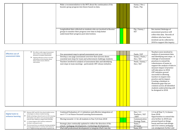| Make a recommendation to the BOT about the continuation of the<br>booster group program into future based on data.                                                               |  | Sunny / Dee /<br>Paula / Pip |                                                                                                                                                                                   |
|----------------------------------------------------------------------------------------------------------------------------------------------------------------------------------|--|------------------------------|-----------------------------------------------------------------------------------------------------------------------------------------------------------------------------------|
| Longitudinal data collected on students who are involved in Booster<br>groups to monitor their progress over time to help better<br>understand their progress post intervention. |  | Pip / Sunny /<br><b>SLT</b>  | Not started. Redesign of<br>assessment practices will<br>collect this data. Records of<br>children who have been<br>involved can be collected in<br>2018 to support this inquiry. |

<span id="page-3-0"></span>

| <b>Effective use of</b><br>assessment data | $\triangleright$ We collect a wide range of assessment<br>data to allow us to make informed<br>decisions on student achievement.<br>$\triangleright$ Ongoing reflection on how to use this<br>information to form hunches about<br>future action ensures effective | Use assessment map to spread assessment over year<br>Develop a one page assessment overview that narrows down<br>essential next steps for team and achievement challenge students<br>Teachers involved in analysis of assessment data and identifying |  | Paula / SLT<br>Sunny / Paula /<br>Dee / SLT<br>Paula / Sunny / | Teachers were involved in<br>analysis of assessment data<br>and identifying next steps. A<br>redesign of assessment<br>practices to extend the                                                                                                                                                                                                                                 |
|--------------------------------------------|--------------------------------------------------------------------------------------------------------------------------------------------------------------------------------------------------------------------------------------------------------------------|-------------------------------------------------------------------------------------------------------------------------------------------------------------------------------------------------------------------------------------------------------|--|----------------------------------------------------------------|--------------------------------------------------------------------------------------------------------------------------------------------------------------------------------------------------------------------------------------------------------------------------------------------------------------------------------------------------------------------------------|
|                                            | intervention                                                                                                                                                                                                                                                       | next steps in team meetings - particularly CRT release initiative.                                                                                                                                                                                    |  | Dee / SLT                                                      | cohesiveness of teams to<br>support the analysis of data to<br>measure impact of practice<br>will take place in 2018.<br>CRT initiative proved<br>successful in allowing<br>teachers to inquire into<br>practice and its impact.<br>Creating a database to<br>illuminate gaps that are<br>common across all identified<br>students underachieving will<br>be designed in 2018. |

<span id="page-3-1"></span>

| Digital tools to<br>enhance learning | Between 2007 and 2011 the school trialled various<br>technologies to enhance student learning.<br>Mobile technology reduced in price in 2012 meaning<br>that families were able to start purchasing digital | Continual Evaluation of 1:1 initiatives and effective integration of<br>our 6 "C"s in Future Focused Learning Environments. |  | Dee $/ 1:1$<br>Teachers / SLT<br>' BOT | 1:1 in all Year $5/6$ classes<br>from 2018.<br>Opportunities to extend this |
|--------------------------------------|-------------------------------------------------------------------------------------------------------------------------------------------------------------------------------------------------------------|-----------------------------------------------------------------------------------------------------------------------------|--|----------------------------------------|-----------------------------------------------------------------------------|
|                                      | tools for their children to support their learning.                                                                                                                                                         | Moving towards 1:1 for all students in Year 5/6 from 2018                                                                   |  | Communication                          | area further in 2018 now                                                    |
|                                      | 1:1 classes began in 2013 and has continued to                                                                                                                                                              |                                                                                                                             |  | <b>Strategy Team</b>                   | present based on things                                                     |
|                                      | develop in subsequent years.                                                                                                                                                                                | Strategic plan continually updated to reflect the direction of the                                                          |  | Tonia /                                | learnt and how task design                                                  |
|                                      | The increased focus on authentic learning and global<br>learning opportunities in real time will continue to                                                                                                | school / pedagogy developments / technology developments                                                                    |  | ICT team                               | and 21st century pedagogy                                                   |
|                                      | see 1:1 digital learning opportunities expand in the                                                                                                                                                        | iPad staff professional development to integrate iPad's into the                                                            |  | Tonia /ICT                             | can amalgamate further and                                                  |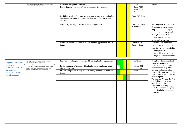|                                                             | coming years which will see a clear vision for the<br>school developed and built on.                                                                                                               | classroom programme effectively.<br>Evaluation and extension of iPad initiatives within school.<br>Upskilling of all teachers across the school in how to use technology |  |  | Team<br>Tonia / ICT<br>Team / SLT /<br><b>BOT</b><br>Tonia /ICT Team                                                                                          | extend                                                                                                                                                                                                             |  |  |  |
|-------------------------------------------------------------|----------------------------------------------------------------------------------------------------------------------------------------------------------------------------------------------------|--------------------------------------------------------------------------------------------------------------------------------------------------------------------------|--|--|---------------------------------------------------------------------------------------------------------------------------------------------------------------|--------------------------------------------------------------------------------------------------------------------------------------------------------------------------------------------------------------------|--|--|--|
|                                                             |                                                                                                                                                                                                    | to enhance pedagogy to support the children as they move into 1:1<br>environments.                                                                                       |  |  |                                                                                                                                                               |                                                                                                                                                                                                                    |  |  |  |
|                                                             |                                                                                                                                                                                                    | Meet as a group regularly to share effective practise                                                                                                                    |  |  | Tonia /ICT Team /<br>All teachers                                                                                                                             | Not completed as often or a<br>structured as we anticipated<br>"Pop Ups" planned as part o<br>our PLD plan for 2018 will<br>strengthen this initiative to<br>make it less vulnerable to<br>falling by the wayside. |  |  |  |
|                                                             |                                                                                                                                                                                                    | Work with parents to educate and up skill to support their child at<br>home.                                                                                             |  |  | Communication<br><b>Strategy Team</b>                                                                                                                         | This is an area that needs<br>further strengthening. The<br>material we once supplied t<br>parents presents<br>opportunities to share new<br>findings and understanding                                            |  |  |  |
|                                                             | Learning contexts that are authentic and create                                                                                                                                                    | Each team working on a making a difference plan through the year.                                                                                                        |  |  | SLT team                                                                                                                                                      | Complete - this area did not                                                                                                                                                                                       |  |  |  |
| <b>Implementation of</b><br>making a<br>difference plans to | connectedness enhance engagement.<br>Coupled with the awareness of adaptive expertise and<br>ubiquity, creating spaces where the children can be<br>engaged in learning outside the classroom will | Re-development of a school wide plan for the grounds that blend<br>play and learning.                                                                                    |  |  | Mike / BOT /<br>Community                                                                                                                                     | progress as much as<br>anticipated due to a closer<br>inspection into play based                                                                                                                                   |  |  |  |
| continue to<br>establish outside<br>learning spaces         | enhance engagement that leads to success.                                                                                                                                                          | BOT creating a fund to help support Making a difference plans for<br>teams.                                                                                              |  |  | Mike                                                                                                                                                          | learning and the resultant<br>impact this could have on th<br>making a difference plans w<br>should explore.<br>The Passion Projects the Yr                                                                        |  |  |  |
|                                                             |                                                                                                                                                                                                    |                                                                                                                                                                          |  |  | and 6 children are part of<br>contributed to this.<br>The school is re-engaging<br>with the Enviroschool group<br>in 2018 to help support this<br>initiative. |                                                                                                                                                                                                                    |  |  |  |
|                                                             |                                                                                                                                                                                                    |                                                                                                                                                                          |  |  |                                                                                                                                                               |                                                                                                                                                                                                                    |  |  |  |

|                     | extend.                                         |
|---------------------|-------------------------------------------------|
| $\overline{\Gamma}$ |                                                 |
| $\Gamma /$          |                                                 |
|                     |                                                 |
|                     |                                                 |
| eam                 |                                                 |
|                     |                                                 |
|                     |                                                 |
|                     |                                                 |
| eam /               | Not completed as often or as                    |
|                     | structured as we anticipated.                   |
|                     | "Pop Ups" planned as part of                    |
|                     | our PLD plan for 2018 will                      |
|                     | strengthen this initiative to                   |
|                     | make it less vulnerable to                      |
|                     |                                                 |
|                     | falling by the wayside.                         |
| ion                 | This is an area that needs                      |
| n                   | further strengthening. The                      |
|                     | material we once supplied to                    |
|                     | parents presents                                |
|                     | opportunities to share new                      |
|                     |                                                 |
|                     | findings and understandings.                    |
|                     |                                                 |
|                     | Complete - this area did not                    |
|                     | progress as much as                             |
| $\Gamma /$          | anticipated due to a closer                     |
| :y                  | inspection into play based                      |
|                     | learning and the resultant                      |
|                     | impact this could have on the                   |
|                     | making a difference plans we<br>should explore. |
|                     | The Passion Projects the Yr 5                   |
|                     | and 6 children are part of                      |
|                     | contributed to this.                            |
|                     | The school is re-engaging                       |
|                     | with the Enviroschool group                     |
|                     | in 2018 to help support this                    |
|                     | initiative.                                     |
|                     |                                                 |
|                     |                                                 |
|                     |                                                 |
|                     |                                                 |
|                     |                                                 |
|                     |                                                 |
|                     |                                                 |
|                     |                                                 |
|                     |                                                 |
|                     |                                                 |
|                     |                                                 |
|                     |                                                 |
|                     |                                                 |
|                     |                                                 |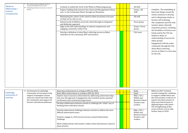<span id="page-5-1"></span><span id="page-5-0"></span>

| <b>Whaia te</b><br>Matauranga /<br><b>Cultural</b><br><b>Competencies</b> | The school has made a deliberate choice to<br>incorporate things Maori into classes.<br>$\triangleright$ Embodying local kawa into classes is a focus for<br>whanau.                                            | Continue to embed the work of the Whaia te Matauranga group.<br>Explore building links between the school and Maungatautari Marae<br>and / or the Community Marae through our Kaumatua.<br>Maintaining the culture of the school to allow local kawa to be part<br>of what we do, who we are.<br>Extend vocab of children across the school through an integrated<br>and deliberate approach.<br>Align work with understandings of cultural competencies and<br>engaging community within CCoL<br>Develop a definition of what Maori achieving success as Maori<br>embodies for the community, BOT and teachers.                                                                                     |  | All Staff<br>Sunny / All<br>Staff<br>All staff<br>Focus group<br>Sunny / Focus<br>group<br>COL team                                                                    | Complete. The embedding of<br>kawa into things around the<br>school continues to develop<br>and is taking large strides to<br>become self sustaining.<br>The completion and PLD with<br>teachers about culturally<br>responsive practice, including<br>the Possibilies of Practice tool<br>being used by the COL has<br>helped to shape an<br>understanding of success for<br>ethnic groups.<br>Engagement with the wider<br>community through the COL<br>about Maori achieving<br>success as Maori is a next step<br>for the COL. |
|---------------------------------------------------------------------------|-----------------------------------------------------------------------------------------------------------------------------------------------------------------------------------------------------------------|------------------------------------------------------------------------------------------------------------------------------------------------------------------------------------------------------------------------------------------------------------------------------------------------------------------------------------------------------------------------------------------------------------------------------------------------------------------------------------------------------------------------------------------------------------------------------------------------------------------------------------------------------------------------------------------------------|--|------------------------------------------------------------------------------------------------------------------------------------------------------------------------|------------------------------------------------------------------------------------------------------------------------------------------------------------------------------------------------------------------------------------------------------------------------------------------------------------------------------------------------------------------------------------------------------------------------------------------------------------------------------------------------------------------------------------|
| <b>Cambridge</b><br>community of<br><b>Learning</b>                       | $\triangleright$ Involvement in Cambridge<br>Community of Learning to help<br>support Leamington Learner<br>vision for school and wider into<br>the community and support all<br>learners educational pathways. | Raise boys achievement in writing to 85% by 2018.<br>Raise Māori achievement in writing to 85% by 2018<br>Explore ways to increase achievement by addressing achievement dips<br>that arise through lack of engagement, key transition points, parental<br>involvement and community progressions.<br>Develop collaboration between schools to challenge the "tribal" way of<br>thinking about individual schools.<br>Develop achievement challenges between schools to address the most<br>difficult achievement issues.<br>Teachers engage in a PLIC process focuses around Achievement<br>Challenge.<br>Work collaboratively with teachers within school and between school to<br>share practice. |  | Paula<br>Paula<br>Mike / SLT /<br>Within and<br>Between School<br>Teachers and<br>Leaders.<br>Mike / SLT /<br>Within and<br>Between School<br>Teachers and<br>Leaders. | Efforts in 2017 revolved<br>around creating the conditions<br>to support collaboration and<br>the tools teachers could use to<br>inquire into their practice in<br>deep ways that focused on<br>aligning impact with intent.<br>The strengthening of this<br>across schools is set to take<br>further steps in 2018.                                                                                                                                                                                                               |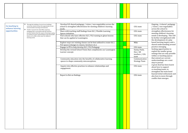<span id="page-6-0"></span>

| <b>Co-teaching to</b><br>enhance learning | ➤<br>Through the building of several new buildings<br>across the school we have the opportunity to trial<br>several modern learning environments.<br>➤                                                         | Develop ILE shared pedagogy / vision / non-negotiables across the<br>school to strengthen effectiveness for meeting children's learning<br>needs. |  |  | COL team                                         |
|-------------------------------------------|----------------------------------------------------------------------------------------------------------------------------------------------------------------------------------------------------------------|---------------------------------------------------------------------------------------------------------------------------------------------------|--|--|--------------------------------------------------|
| opportunities                             | Further research into what MLE comprises,<br>pedagogy that is associated with this and best<br>practise indicate that this aspect of learning is going<br>to continue to grow exponentially in the foreseeable | Share with teaching staff findings from ILE / Flexible Learning<br>Spaces initiatives                                                             |  |  | COL team                                         |
|                                           | future as it is able to best cater for children's<br>learning needs.                                                                                                                                           | Visit schools who have effective ILE / FLS running to glean lessons<br>that can be applied at Leamington.                                         |  |  | COL team                                         |
|                                           |                                                                                                                                                                                                                | Explore ways our existing classes can be best utilised to create ILE /<br>FLS spaces (changes to classes, furniture etc.)                         |  |  | Mike                                             |
|                                           |                                                                                                                                                                                                                | Engage in PD to help develop ILE / FLS Pedagogy                                                                                                   |  |  | COL team                                         |
|                                           |                                                                                                                                                                                                                | Develop the revised School Vision that compliments our Leamington<br>Learner concept.                                                             |  |  | Sunny, Paul<br>Dee / All<br>teachers / 0<br>team |
|                                           |                                                                                                                                                                                                                | Community education into the benefits of collaborative learning<br>spaces to shape community misconceptions.                                      |  |  | Communica<br><b>Strategy Te</b>                  |
|                                           |                                                                                                                                                                                                                | Inquiry into effective practises to enhance relationships and<br>engagement.                                                                      |  |  | COL team                                         |
|                                           |                                                                                                                                                                                                                | Report to Bot on findings.                                                                                                                        |  |  | COL team                                         |

la,  $COL$ ation eam

Ongoing. A shared pedagogy / vision / non-negotiables across the school t o strengthen effecti veness for meeting children's learning needs is de veloping. This will be further strengthened with the de velopment of a pla y based learning inquiry and a shared understanding around practice emerging. Seeking opportunities t o exploit the smaller group settings that are only possible within co-teaching spaces that extend our current understandings are a next step to pursue. A great deal has been learnt about how to support co-teaching teams, t o strengthen the team bond be yond initial enthusiasm and also how to mo ve throug h conflict that emerges.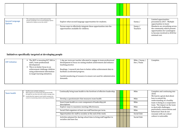|--|

<span id="page-7-2"></span>

| <b>Second Language</b><br><b>Options</b> | The community survey in 2014 indicated that<br>parents would like to see second language options<br>explored for children across the school. | Explore what second language opportunities for students.                                                   |  | Sunny /            | Limited opportunities<br>presented in 2017. Multiple<br>opportunities to learn                                                                   |
|------------------------------------------|----------------------------------------------------------------------------------------------------------------------------------------------|------------------------------------------------------------------------------------------------------------|--|--------------------|--------------------------------------------------------------------------------------------------------------------------------------------------|
|                                          |                                                                                                                                              | Pursue ways to effectively integrate these opportunities into the<br>opportunities available for children. |  | Sunny/<br>Teachers | Mandarin are strenthing across<br>the community which present<br>opportunities for Leamington<br>to become involved in 2018 for<br>minimal cost. |

# <span id="page-7-1"></span>**Initiatives specifically targeted at developing people**

<span id="page-7-0"></span>

| <b>CRT Initiative</b> | $\triangleright$ The BOT is investing \$27 000 in<br>staff / team professional<br>development                                                        | 1 day per term per teacher allocated to engage in team professional<br>development to focus on raising student achievement and enhance<br>teaching practice |  | Mike / Sunny /<br>Dee / Paula | Complete. |
|-----------------------|------------------------------------------------------------------------------------------------------------------------------------------------------|-------------------------------------------------------------------------------------------------------------------------------------------------------------|--|-------------------------------|-----------|
|                       | $\triangleright$ This is to better focus in on<br>achievement challenge children<br>using achievement information<br>to target learning initiatives. | Readings / research into how to better utilize achievement data to<br>facilitate accelerated progress.                                                      |  |                               |           |
|                       |                                                                                                                                                      | Careful monitoring of resource to ensure not used for administrative<br>demands.                                                                            |  |                               |           |

| <b>Team health</b> | Healthy teams multiply intelligence.<br>Many aspects of a normal team derail team health<br>through the way they deal with conflict, manage time.<br>Leadership that supports team health is going to be | Continually bring team health to the forefront of effective leadership.                         |  | Mike        | Complete and continuing into<br>2018.<br>We learnt a great deal about |
|--------------------|----------------------------------------------------------------------------------------------------------------------------------------------------------------------------------------------------------|-------------------------------------------------------------------------------------------------|--|-------------|-----------------------------------------------------------------------|
|                    | central to maximising student achieving possibilities.                                                                                                                                                   | Develop a questionnaire that measures team health                                               |  | Mike        | how to extend the<br>understanding of a healthy                       |
|                    |                                                                                                                                                                                                          | Insert team health as a core component of leadership job<br>descriptions                        |  | Mike        | team vs being in a cooperative<br>team. The impact on the team        |
|                    |                                                                                                                                                                                                          | Explore ways to maximise meeting effectiveness.                                                 |  | Mike        | to deal with challenges,                                              |
|                    |                                                                                                                                                                                                          | Social Club organises at least one staff function per term.                                     |  | Mike        | particularly conversations and<br>behaviours that do not              |
|                    |                                                                                                                                                                                                          | Opportunities for staff to socialise at the end of the week.                                    |  | Social Club | resonate with our school                                              |
|                    |                                                                                                                                                                                                          | Activities planned for during school time to bring staff together to<br>socialise and have fun. |  | Social Club | culture is noticeable.                                                |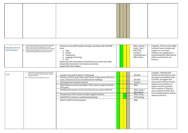<span id="page-8-0"></span>

|                         | As the school roll continues to grow, and we develop                                                      | Induction of new staff members through a coaching model with BOB  |  | Mike / Sunny /  | Complete. The use of our Baby    |
|-------------------------|-----------------------------------------------------------------------------------------------------------|-------------------------------------------------------------------|--|-----------------|----------------------------------|
| <b>Induction of new</b> | leaders who will take up opportunities in other<br>schools the regularity of new staff members increases. | team.                                                             |  | Paula / Dee /   | on Board Team to induct and      |
| staff members           | Maintaining the strengths of the school can only be                                                       | o Cogs                                                            |  | SLT/PLIC        | support our new team             |
|                         | maintained through effective induction systems.                                                           | o Virtues                                                         |  | Coaches /       | members was significant in       |
|                         |                                                                                                           | <b>O</b> Progressions                                             |  | Teaching team / | accelerating their effectiveness |
|                         |                                                                                                           | <b>O</b> Language of learning                                     |  | Office Team     | within our school for our        |
|                         |                                                                                                           | o PLIC                                                            |  |                 | learners.                        |
|                         |                                                                                                           | Spend time with new teachers to find what we can learn from other |  |                 |                                  |
|                         |                                                                                                           | schools they have been in to enhance our practice.                |  |                 |                                  |
|                         |                                                                                                           | Support New Team leaders                                          |  |                 |                                  |

<span id="page-8-1"></span>

| <b>PLIC</b> | During 2013 the appraisal system was adapted<br>based on work done with the Teachers Council<br>Appraisal initiative.<br>$\triangleright$ The PLIC process developed as a result. | Coaches work with teachers on PLIC goals<br>Teachers set PLIC goals inline with Teacher Progressions, COL focus<br>areas, school focus areas and Achievement challenge<br>Sharing practice between teachers |  | All Staff<br>All Staff<br>Coaches | Complete. Meeting with<br>teachers in their point in time<br>meetings has identified ways<br>to further strengthen this<br>process that will have further |
|-------------|-----------------------------------------------------------------------------------------------------------------------------------------------------------------------------------|-------------------------------------------------------------------------------------------------------------------------------------------------------------------------------------------------------------|--|-----------------------------------|-----------------------------------------------------------------------------------------------------------------------------------------------------------|
|             |                                                                                                                                                                                   | Observations in class by principal / PLIC coach to support teachers<br>PLIC goals                                                                                                                           |  | Mike                              | impact for our teachers to<br>inquire into their practice.                                                                                                |
|             |                                                                                                                                                                                   | Meeting with teachers to hear first hand success made with PLIC.                                                                                                                                            |  | Mike, Sunny /<br>All teachers     | The formation of "Pop Ups"<br>and a synthesis of PLIC each                                                                                                |
|             |                                                                                                                                                                                   | Develop more PLIC coaches to better support teachers.                                                                                                                                                       |  | Mike, Sunny                       | term is being tested to extend<br>impact of practice.                                                                                                     |
|             |                                                                                                                                                                                   | Upskill PLIC coaches in coaching methodology.                                                                                                                                                               |  | PLD funding                       |                                                                                                                                                           |
|             |                                                                                                                                                                                   | Report to BOT on PLIC progress.                                                                                                                                                                             |  | Mike                              |                                                                                                                                                           |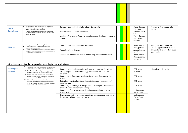| <b>Sports</b>       | Sport continues to be a priority for the community.<br>The 2016 survey indicated support from the<br>community for a sport co-ordinator.                    | Develop a plan and rationale for a Sport Co-ordinator                              |  | Fraser, Jacqui,<br>Mike, parents               | Complete. Continuing into<br>2018.                          |  |  |
|---------------------|-------------------------------------------------------------------------------------------------------------------------------------------------------------|------------------------------------------------------------------------------------|--|------------------------------------------------|-------------------------------------------------------------|--|--|
| <b>Co-ordinator</b> | The BOT has ring fenced money to appoint a sport<br>$\geq$<br>co-ordinator to help enhance sporting opportunities<br>within the school.                     | Appointment of a sport co-ordinator                                                |  | Appointments<br>panel                          |                                                             |  |  |
|                     |                                                                                                                                                             | Monitor effectiveness of sport co-coordinator and develop a measure of<br>success. |  | Fraser, Jacqui,<br>Mike, parents,<br>teachers. |                                                             |  |  |
|                     |                                                                                                                                                             |                                                                                    |  |                                                |                                                             |  |  |
| <b>Librarian</b>    | Literacy continues to be a priority for the community.<br>The 2016 survey indicated support from the<br>community for a librarian.                          | Develop a plan and rationale for a librarian                                       |  | Helen, Alison,<br>Mike, parents                | Complete. Continuing into<br>2018. Opportunities to use the |  |  |
|                     | The BOT has ring fenced money to appoint a librarian<br>$\geq$<br>to support literacy programs and the establishment of<br>a new library within the school. | Appointment of a librarian                                                         |  | Appointments<br>panel                          | library further have developed<br>as a result.              |  |  |
|                     |                                                                                                                                                             | Monitor effectiveness of librarian and develop a measure of success.               |  | Helen, Alison,<br>Mike, parents,<br>teachers.  |                                                             |  |  |

| . | community for a librarian.                                                                                    |                                                                      |  |  | Mike, parei |
|---|---------------------------------------------------------------------------------------------------------------|----------------------------------------------------------------------|--|--|-------------|
|   | The BOT has ring fenced money to appoint a librarian<br>to support literacy programs and the establishment of | Appointment of a librarian                                           |  |  | Appointme   |
|   | a new library within the school.                                                                              |                                                                      |  |  | panel       |
|   |                                                                                                               | Monitor effectiveness of librarian and develop a measure of success. |  |  | Helen, Alis |
|   |                                                                                                               |                                                                      |  |  | Mike, parer |
|   |                                                                                                               |                                                                      |  |  | teachers.   |

#### <span id="page-9-0"></span>**Initiatives specifically targeted at developing school vision**

<span id="page-9-1"></span>

| <b>Leamington</b><br><b>Learners</b> | The school survey in 2008 identified core goals that<br>parents wanted to see developed for all children.<br>These have been developing over many years with<br>➤<br>considerable momentum gained in recent years.<br>The focus will be to continue work to embed Core<br>Goals for all children into classroom practise as the<br>vehicle to deliver the NZ Curriculum.<br>This will also see the continuation of focusing on<br>increasing student agency / voice / empowerment<br>across the school to encourage children to take more<br>responsibility for their own learning. | Continue with implementation of Progressions across the school.<br>Trying ways to make the learning process more visual for the<br>children.<br>Continuing to share successful practise with teachers across the<br>school.<br>Extending ways to allow the children to take more ownership of<br>their learning.<br>Continuing to find ways to integrate our Leamington Learners with<br>their COGS into all areas of learning.<br>Continue to find ways to embed our Leamington Learners into all<br>school learning.<br>Highlight the link between the Leamington learners and all areas of<br>learning the children are involved in. |  | COL team<br>COL team<br>COL team<br>COL team<br>COL team<br>LL Leaders /<br>Focus Group<br>LL Leaders /<br>Focus Group / | Complete and ongoing. |
|--------------------------------------|-------------------------------------------------------------------------------------------------------------------------------------------------------------------------------------------------------------------------------------------------------------------------------------------------------------------------------------------------------------------------------------------------------------------------------------------------------------------------------------------------------------------------------------------------------------------------------------|-----------------------------------------------------------------------------------------------------------------------------------------------------------------------------------------------------------------------------------------------------------------------------------------------------------------------------------------------------------------------------------------------------------------------------------------------------------------------------------------------------------------------------------------------------------------------------------------------------------------------------------------|--|--------------------------------------------------------------------------------------------------------------------------|-----------------------|
|                                      |                                                                                                                                                                                                                                                                                                                                                                                                                                                                                                                                                                                     |                                                                                                                                                                                                                                                                                                                                                                                                                                                                                                                                                                                                                                         |  | All staff                                                                                                                |                       |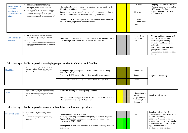<span id="page-10-0"></span>

| Implementation<br>of revised<br><b>Leamington</b><br><b>Learner vision for</b><br>school | In 2015 the teaching team attended various<br>professional development opportunities that<br>heighten our pedagogical awareness of future<br>focused learning.<br>This resulted in the draft formation of an expanded<br>school vision that would deepen the impact of the<br>Leamington Learner vision within the school.<br>As we continue to develop this concept, it is evolving<br>$\blacktriangleright$<br>and new understanding integrated into the vision. | Expand existing school vision to incorporate key themes from the<br>OECD Nature of Learning report.<br>Engage in reading with teaching team to deepen understanding of<br>future focused education before establishing Focus Groups. |  | COL team<br>COL team                        | Ongoing - the Possibilities of<br>Practice tool was based on the<br>NOL report. Further<br>exploration of this in 2018<br>will continue.                                                                                                           |
|------------------------------------------------------------------------------------------|--------------------------------------------------------------------------------------------------------------------------------------------------------------------------------------------------------------------------------------------------------------------------------------------------------------------------------------------------------------------------------------------------------------------------------------------------------------------|--------------------------------------------------------------------------------------------------------------------------------------------------------------------------------------------------------------------------------------|--|---------------------------------------------|----------------------------------------------------------------------------------------------------------------------------------------------------------------------------------------------------------------------------------------------------|
|                                                                                          |                                                                                                                                                                                                                                                                                                                                                                                                                                                                    | Gather picture of current practice across school to determine next<br>steps in strategic plan and teacher support.                                                                                                                   |  | COL team<br><b>Teaching Team</b><br>$/$ SLT |                                                                                                                                                                                                                                                    |
| <b>Communication</b><br><b>Strategy</b>                                                  | With the many changes happening in education,<br>$\geq$<br>keeping parents involved, informed is critical to<br>continual community ownership.<br>➤<br>Parents as ambassadors to the community of the<br>educational benefits and innovations of the school is<br>critical to the school being central to the community<br>endorsement.                                                                                                                            | Develop and implement a communication plan that includes face to<br>face meetings, web resources, newsletter resources etc.                                                                                                          |  | Paula / Dee /<br>Mike / SLT /<br><b>BOT</b> | This area did not expand as far<br>as anticipated. Further<br>narrowing down of key<br>initiatives and focusing on<br>delegating specific<br>responsibilities to key roles is<br>going to be a critical<br>component to support this into<br>2018. |

## <span id="page-10-1"></span>**Initiatives specifically targeted at developing opportunities for children and families**

<span id="page-10-2"></span>

| <b>Head Lice</b> | The Community survey from 2013 received a clear<br>indication from the community that they wanted a<br>proactive response to dealing with Head lice. | Put in place a proposed procedure to check head lice routinely<br>across the school |  | Sunny / Mike |                      |
|------------------|------------------------------------------------------------------------------------------------------------------------------------------------------|-------------------------------------------------------------------------------------|--|--------------|----------------------|
|                  |                                                                                                                                                      | Consult with BOT on procedure before consulting with community                      |  | Sunny        | Complete and ongoing |
|                  |                                                                                                                                                      | Finalise procedure to be in place either late in 2014 or 2015                       |  | Sunny        |                      |

<span id="page-10-3"></span>

| <b>Sport</b> | Sport continues to be a vitally important area of the<br>school. In recent times the school has experienced<br>success on the sporting field, with many children<br>playing sport both during and after school. | Successful running of Sporting Body Committee.                                                                        |  | Mike / Fraser /<br>Jacqui                       | Complete and ongoing |
|--------------|-----------------------------------------------------------------------------------------------------------------------------------------------------------------------------------------------------------------|-----------------------------------------------------------------------------------------------------------------------|--|-------------------------------------------------|----------------------|
|              |                                                                                                                                                                                                                 | Variety of sports taking place across the school with the aim to have<br>all children involved in sport of some type. |  | Jacqui / Fraser<br>/ Sporting Body<br>Committee |                      |

#### <span id="page-10-4"></span>**Initiatives specifically targeted at essential school infrastructure and operations**

<span id="page-10-5"></span>

| <b>Funky Kids Club</b> | Before and Afterschool care continues to be an<br>important service within the school for parents.   | Ongoing monitoring of program.                                                              |  |  | Dee |
|------------------------|------------------------------------------------------------------------------------------------------|---------------------------------------------------------------------------------------------|--|--|-----|
|                        | Continuing to monitor the effectiveness of this<br>program ensures parents can use this service with | Meeting with Funky kids club staff regularly to oversee program.                            |  |  |     |
|                        | confidence.                                                                                          | Appraisal of staff using a modified Progressions format to be<br>developed in $2016 / 2017$ |  |  |     |
|                        |                                                                                                      | Employment of new staff members to cater for increasing numbers<br>of students.             |  |  |     |

| Complete and ongoing. The            |
|--------------------------------------|
| appointment of a new AP in 2018      |
| will see us reshaping the            |
| leadership structure of this key     |
| part of the school to allow us to be |
| more responsive to needs, better     |
| support staff needs and              |
| development, and distribute          |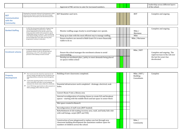|  | oval of FKC:<br>' numbers<br>Annr<br>service<br>cate<br>nncnd<br>- TOF<br>ាអល<br>-10<br>cant |  |  |  |
|--|----------------------------------------------------------------------------------------------|--|--|--|
|  |                                                                                              |  |  |  |

|                      | Keeping the Community informed of developments within<br>and across the school is a priority with all the changes | BOT Newsletter each term. |  |  | <b>BOT</b> | Complete and ongoing |
|----------------------|-------------------------------------------------------------------------------------------------------------------|---------------------------|--|--|------------|----------------------|
| <b>BOT</b>           | happening both with property and educational practice.                                                            |                           |  |  |            |                      |
| <b>Communication</b> |                                                                                                                   |                           |  |  |            |                      |
| with the             |                                                                                                                   |                           |  |  |            |                      |
| <b>Community</b>     |                                                                                                                   |                           |  |  |            |                      |

|      | leadership across different layers<br>of the school. |
|------|------------------------------------------------------|
|      |                                                      |
|      | Complete and ongoing                                 |
|      |                                                      |
|      | Complete and ongoing                                 |
| ınne |                                                      |
|      |                                                      |

<span id="page-11-1"></span><span id="page-11-0"></span>

| <b>Banked Staffing</b>  | In 2012 the Government indicated a change to the<br>way Banked Staffing would function. This has<br>serious implications for the way the school runs,<br>being especially mindful of the potential to spend | Monitor staffing usage closely to avoid budget over spends.                                                          |  |  |  | Mike /<br>Marianne |
|-------------------------|-------------------------------------------------------------------------------------------------------------------------------------------------------------------------------------------------------------|----------------------------------------------------------------------------------------------------------------------|--|--|--|--------------------|
|                         | of the Banked Staffing situation will be necessary to                                                                                                                                                       | considerable money on relievers. Close monitoring<br>Keep up to date with the most efficient way to manage staffing. |  |  |  | Mike               |
|                         | prevent budget blow outs while ensuring other<br>Ensure teachers are moved to Bulk Grant if it is more financially<br>programmes continue to take place.<br>viable to do so.                                |                                                                                                                      |  |  |  | Mike / Marianne    |
|                         |                                                                                                                                                                                                             |                                                                                                                      |  |  |  |                    |
| <b>Enrolment scheme</b> | In 2012 the school has had to implement an<br>enrolment scheme to cater for the growing roll.<br>Maintaining a role of 75 or 90 students eases                                                              | Ensure the school manages the enrolment scheme to avoid                                                              |  |  |  | Mike / BOT         |

<span id="page-11-2"></span>

| <b>Enrolment scheme</b> | In 2012 the school has had to implement an<br>enrolment scheme to cater for the growing roll.<br>Maintaining a role of 75 or 90 students eases<br>pressure on the makeup of classes around | Ensure the school manages the enrolment scheme to avoid<br>overcrowding.                   |  | Mike / BOT | Complete and ongoing. The<br>rapid increase in the roll over |
|-------------------------|--------------------------------------------------------------------------------------------------------------------------------------------------------------------------------------------|--------------------------------------------------------------------------------------------|--|------------|--------------------------------------------------------------|
|                         |                                                                                                                                                                                            | Develop an enrolment plan / policy to meet demands being placed<br>on spaces within school |  |            | the last few years has<br>decelerated.                       |

| $\overline{\Gamma /}$ | Complete |
|-----------------------|----------|
| $\mathbf{s}$          |          |
|                       |          |
|                       |          |
|                       |          |
|                       |          |
|                       |          |
|                       |          |
|                       |          |
|                       |          |
|                       |          |
|                       |          |
|                       |          |
| y                     |          |
|                       |          |

<span id="page-11-3"></span>

| <b>Property</b><br><b>Development</b> | Over recent years the school has experienced roll<br>growth, changes through first time enrolments and<br>upgrading facilities around the school through the<br>5YA.<br>Continually upgrading facilities to best fit the needs<br>of the community and reflect current pedagogy | Building of new classrooms completed.                                                                                                                                      |  |  | Mike / BOT /<br><b>Building</b><br>Consultants |
|---------------------------------------|---------------------------------------------------------------------------------------------------------------------------------------------------------------------------------------------------------------------------------------------------------------------------------|----------------------------------------------------------------------------------------------------------------------------------------------------------------------------|--|--|------------------------------------------------|
|                                       | maintains the schools status within the community.<br>A new 5YA brings opportunities to allow property to<br>follow pedagogy shifts within the school.                                                                                                                          | Essential infrastructure work completed - drainage, electrical, soak<br>holes.                                                                                             |  |  |                                                |
|                                       |                                                                                                                                                                                                                                                                                 | Convert Room 9 into a library area                                                                                                                                         |  |  |                                                |
|                                       |                                                                                                                                                                                                                                                                                 | Internal reconfiguration of existing classes to create ILE and breakout<br>spaces - starting with the middle block and last space in senior block                          |  |  |                                                |
|                                       |                                                                                                                                                                                                                                                                                 | Wet space created in Room 8.                                                                                                                                               |  |  |                                                |
|                                       |                                                                                                                                                                                                                                                                                 | Reconfiguration of staff room (BOT funded)                                                                                                                                 |  |  |                                                |
|                                       |                                                                                                                                                                                                                                                                                 | Refurbishment of old reading recovery area, vault, and funky kids club<br>with wall linings, carpet (BOT and 5YA)                                                          |  |  |                                                |
|                                       |                                                                                                                                                                                                                                                                                 | Construction of new playground to replace one lost through new<br>classroom building development the maximizes outdoor space for<br>numbers of children across the school. |  |  | Mike /<br>Community                            |